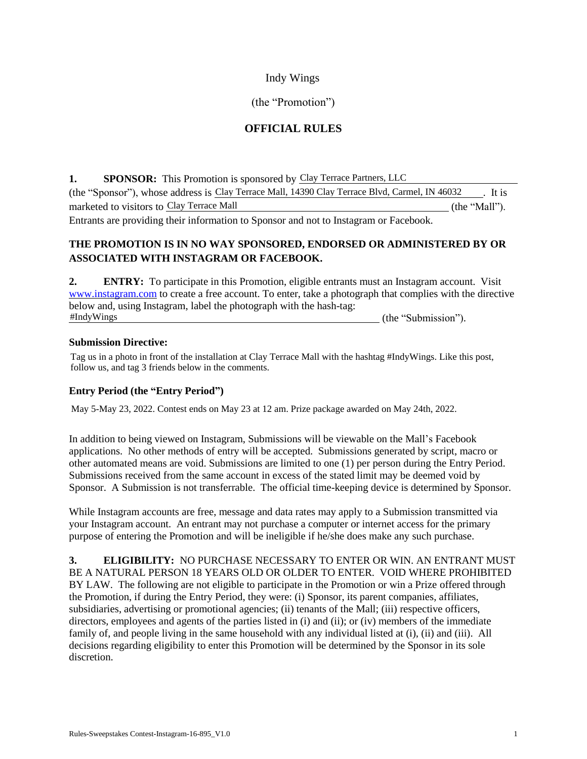#### Indy Wings

#### (the "Promotion")

## **OFFICIAL RULES**

1. **SPONSOR:** This Promotion is sponsored by Clay Terrace Partners, LLC (the "Sponsor"), whose address is Clay Terrace Mall, 14390 Clay Terrace Blvd, Carmel, IN 46032 [15]. It is marketed to visitors to Clay Terrace Mall (the "Mall"). Entrants are providing their information to Sponsor and not to Instagram or Facebook.

#### **THE PROMOTION IS IN NO WAY SPONSORED, ENDORSED OR ADMINISTERED BY OR ASSOCIATED WITH INSTAGRAM OR FACEBOOK.**

**2. ENTRY:** To participate in this Promotion, eligible entrants must an Instagram account. Visit [www.instagram.com](http://www.instagram.com/) to create a free account. To enter, take a photograph that complies with the directive below and, using Instagram, label the photograph with the hash-tag: (the "Submission"). #IndyWings

#### **Submission Directive:**

Tag us in a photo in front of the installation at Clay Terrace Mall with the hashtag #IndyWings. Like this post,

#### **Entry Period (the "Entry Period")**

follow us, and tag 3 friends below in the comments.<br> **Entry Period (the "Entry Period")**<br>
May 5-May 23, 2022. Contest ends on May 23 at 12 am. Prize package awarded on May 24th, 2022.

In addition to being viewed on Instagram, Submissions will be viewable on the Mall's Facebook applications. No other methods of entry will be accepted. Submissions generated by script, macro or other automated means are void. Submissions are limited to one (1) per person during the Entry Period. Submissions received from the same account in excess of the stated limit may be deemed void by Sponsor. A Submission is not transferrable. The official time-keeping device is determined by Sponsor.

While Instagram accounts are free, message and data rates may apply to a Submission transmitted via your Instagram account. An entrant may not purchase a computer or internet access for the primary purpose of entering the Promotion and will be ineligible if he/she does make any such purchase.

**3. ELIGIBILITY:** NO PURCHASE NECESSARY TO ENTER OR WIN. AN ENTRANT MUST BE A NATURAL PERSON 18 YEARS OLD OR OLDER TO ENTER. VOID WHERE PROHIBITED BY LAW.The following are not eligible to participate in the Promotion or win a Prize offered through the Promotion, if during the Entry Period, they were: (i) Sponsor, its parent companies, affiliates, subsidiaries, advertising or promotional agencies; (ii) tenants of the Mall; (iii) respective officers, directors, employees and agents of the parties listed in (i) and (ii); or (iv) members of the immediate family of, and people living in the same household with any individual listed at (i), (ii) and (iii). All decisions regarding eligibility to enter this Promotion will be determined by the Sponsor in its sole discretion.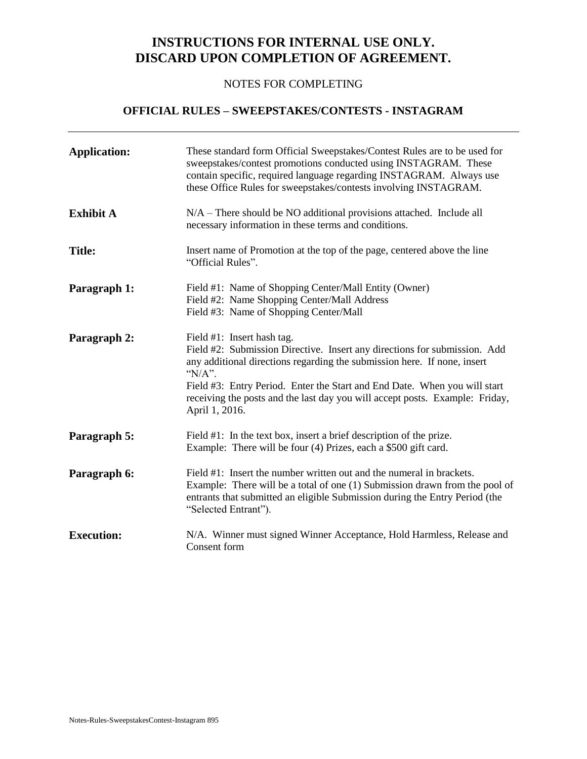# **INSTRUCTIONS FOR INTERNAL USE ONLY. DISCARD UPON COMPLETION OF AGREEMENT.**

# NOTES FOR COMPLETING

### **OFFICIAL RULES – SWEEPSTAKES/CONTESTS - INSTAGRAM**

| <b>Application:</b> | These standard form Official Sweepstakes/Contest Rules are to be used for<br>sweepstakes/contest promotions conducted using INSTAGRAM. These<br>contain specific, required language regarding INSTAGRAM. Always use<br>these Office Rules for sweepstakes/contests involving INSTAGRAM.                                                                                          |
|---------------------|----------------------------------------------------------------------------------------------------------------------------------------------------------------------------------------------------------------------------------------------------------------------------------------------------------------------------------------------------------------------------------|
| <b>Exhibit A</b>    | $N/A$ – There should be NO additional provisions attached. Include all<br>necessary information in these terms and conditions.                                                                                                                                                                                                                                                   |
| <b>Title:</b>       | Insert name of Promotion at the top of the page, centered above the line<br>"Official Rules".                                                                                                                                                                                                                                                                                    |
| Paragraph 1:        | Field #1: Name of Shopping Center/Mall Entity (Owner)<br>Field #2: Name Shopping Center/Mall Address<br>Field #3: Name of Shopping Center/Mall                                                                                                                                                                                                                                   |
| Paragraph 2:        | Field #1: Insert hash tag.<br>Field #2: Submission Directive. Insert any directions for submission. Add<br>any additional directions regarding the submission here. If none, insert<br>" $N/A$ ".<br>Field #3: Entry Period. Enter the Start and End Date. When you will start<br>receiving the posts and the last day you will accept posts. Example: Friday,<br>April 1, 2016. |
| Paragraph 5:        | Field #1: In the text box, insert a brief description of the prize.<br>Example: There will be four (4) Prizes, each a \$500 gift card.                                                                                                                                                                                                                                           |
| Paragraph 6:        | Field #1: Insert the number written out and the numeral in brackets.<br>Example: There will be a total of one (1) Submission drawn from the pool of<br>entrants that submitted an eligible Submission during the Entry Period (the<br>"Selected Entrant").                                                                                                                       |
| <b>Execution:</b>   | N/A. Winner must signed Winner Acceptance, Hold Harmless, Release and<br>Consent form                                                                                                                                                                                                                                                                                            |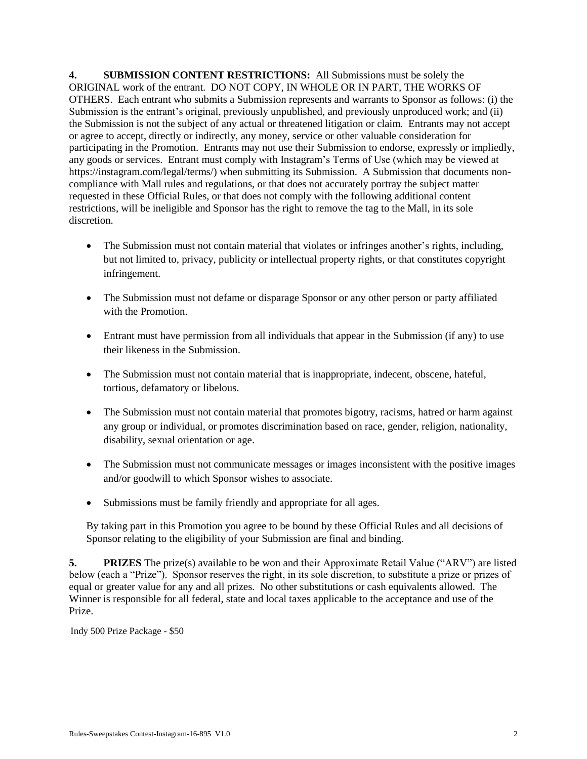**4. SUBMISSION CONTENT RESTRICTIONS:** All Submissions must be solely the ORIGINAL work of the entrant. DO NOT COPY, IN WHOLE OR IN PART, THE WORKS OF OTHERS. Each entrant who submits a Submission represents and warrants to Sponsor as follows: (i) the Submission is the entrant's original, previously unpublished, and previously unproduced work; and (ii) the Submission is not the subject of any actual or threatened litigation or claim. Entrants may not accept or agree to accept, directly or indirectly, any money, service or other valuable consideration for participating in the Promotion. Entrants may not use their Submission to endorse, expressly or impliedly, any goods or services. Entrant must comply with Instagram's Terms of Use (which may be viewed at https://instagram.com/legal/terms/) when submitting its Submission. A Submission that documents noncompliance with Mall rules and regulations, or that does not accurately portray the subject matter requested in these Official Rules, or that does not comply with the following additional content restrictions, will be ineligible and Sponsor has the right to remove the tag to the Mall, in its sole discretion.

- The Submission must not contain material that violates or infringes another's rights, including, but not limited to, privacy, publicity or intellectual property rights, or that constitutes copyright infringement.
- The Submission must not defame or disparage Sponsor or any other person or party affiliated with the Promotion.
- Entrant must have permission from all individuals that appear in the Submission (if any) to use their likeness in the Submission.
- The Submission must not contain material that is inappropriate, indecent, obscene, hateful, tortious, defamatory or libelous.
- The Submission must not contain material that promotes bigotry, racisms, hatred or harm against any group or individual, or promotes discrimination based on race, gender, religion, nationality, disability, sexual orientation or age.
- The Submission must not communicate messages or images inconsistent with the positive images and/or goodwill to which Sponsor wishes to associate.
- Submissions must be family friendly and appropriate for all ages.

By taking part in this Promotion you agree to be bound by these Official Rules and all decisions of Sponsor relating to the eligibility of your Submission are final and binding.

**5. PRIZES** The prize(s) available to be won and their Approximate Retail Value ("ARV") are listed below (each a "Prize"). Sponsor reserves the right, in its sole discretion, to substitute a prize or prizes of equal or greater value for any and all prizes. No other substitutions or cash equivalents allowed. The Winner is responsible for all federal, state and local taxes applicable to the acceptance and use of the Prize.

Indy 500 Prize Package - \$50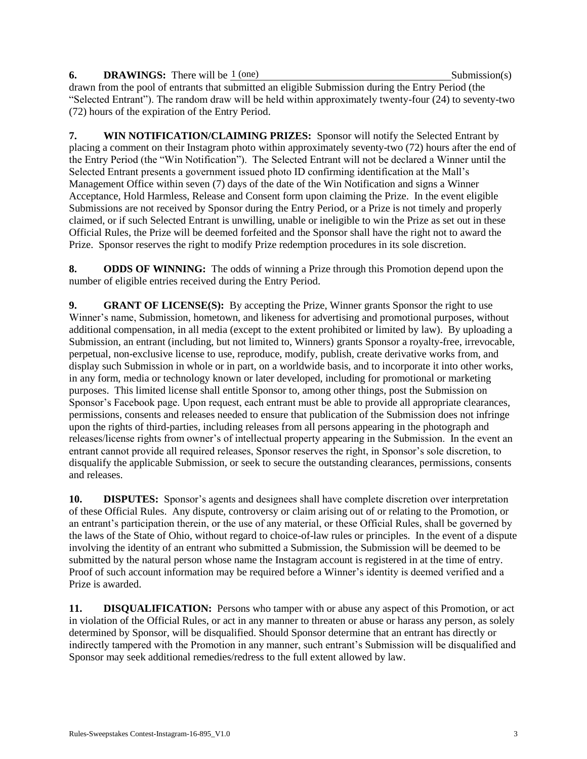**6. DRAWINGS:** There will be  $\frac{1 \text{ (one)}}{2 \text{ (one)}}$  Submission(s)

drawn from the pool of entrants that submitted an eligible Submission during the Entry Period (the "Selected Entrant"). The random draw will be held within approximately twenty-four (24) to seventy-two (72) hours of the expiration of the Entry Period.

**7. WIN NOTIFICATION/CLAIMING PRIZES:** Sponsor will notify the Selected Entrant by placing a comment on their Instagram photo within approximately seventy-two (72) hours after the end of the Entry Period (the "Win Notification"). The Selected Entrant will not be declared a Winner until the Selected Entrant presents a government issued photo ID confirming identification at the Mall's Management Office within seven (7) days of the date of the Win Notification and signs a Winner Acceptance, Hold Harmless, Release and Consent form upon claiming the Prize. In the event eligible Submissions are not received by Sponsor during the Entry Period, or a Prize is not timely and properly claimed, or if such Selected Entrant is unwilling, unable or ineligible to win the Prize as set out in these Official Rules, the Prize will be deemed forfeited and the Sponsor shall have the right not to award the Prize. Sponsor reserves the right to modify Prize redemption procedures in its sole discretion.

**8. ODDS OF WINNING:** The odds of winning a Prize through this Promotion depend upon the number of eligible entries received during the Entry Period.

**9. GRANT OF LICENSE(S):** By accepting the Prize, Winner grants Sponsor the right to use Winner's name, Submission, hometown, and likeness for advertising and promotional purposes, without additional compensation, in all media (except to the extent prohibited or limited by law). By uploading a Submission, an entrant (including, but not limited to, Winners) grants Sponsor a royalty-free, irrevocable, perpetual, non-exclusive license to use, reproduce, modify, publish, create derivative works from, and display such Submission in whole or in part, on a worldwide basis, and to incorporate it into other works, in any form, media or technology known or later developed, including for promotional or marketing purposes. This limited license shall entitle Sponsor to, among other things, post the Submission on Sponsor's Facebook page. Upon request, each entrant must be able to provide all appropriate clearances, permissions, consents and releases needed to ensure that publication of the Submission does not infringe upon the rights of third-parties, including releases from all persons appearing in the photograph and releases/license rights from owner's of intellectual property appearing in the Submission. In the event an entrant cannot provide all required releases, Sponsor reserves the right, in Sponsor's sole discretion, to disqualify the applicable Submission, or seek to secure the outstanding clearances, permissions, consents and releases.

**10. DISPUTES:** Sponsor's agents and designees shall have complete discretion over interpretation of these Official Rules. Any dispute, controversy or claim arising out of or relating to the Promotion, or an entrant's participation therein, or the use of any material, or these Official Rules, shall be governed by the laws of the State of Ohio, without regard to choice-of-law rules or principles. In the event of a dispute involving the identity of an entrant who submitted a Submission, the Submission will be deemed to be submitted by the natural person whose name the Instagram account is registered in at the time of entry. Proof of such account information may be required before a Winner's identity is deemed verified and a Prize is awarded.

**11. DISQUALIFICATION:** Persons who tamper with or abuse any aspect of this Promotion, or act in violation of the Official Rules, or act in any manner to threaten or abuse or harass any person, as solely determined by Sponsor, will be disqualified. Should Sponsor determine that an entrant has directly or indirectly tampered with the Promotion in any manner, such entrant's Submission will be disqualified and Sponsor may seek additional remedies/redress to the full extent allowed by law.